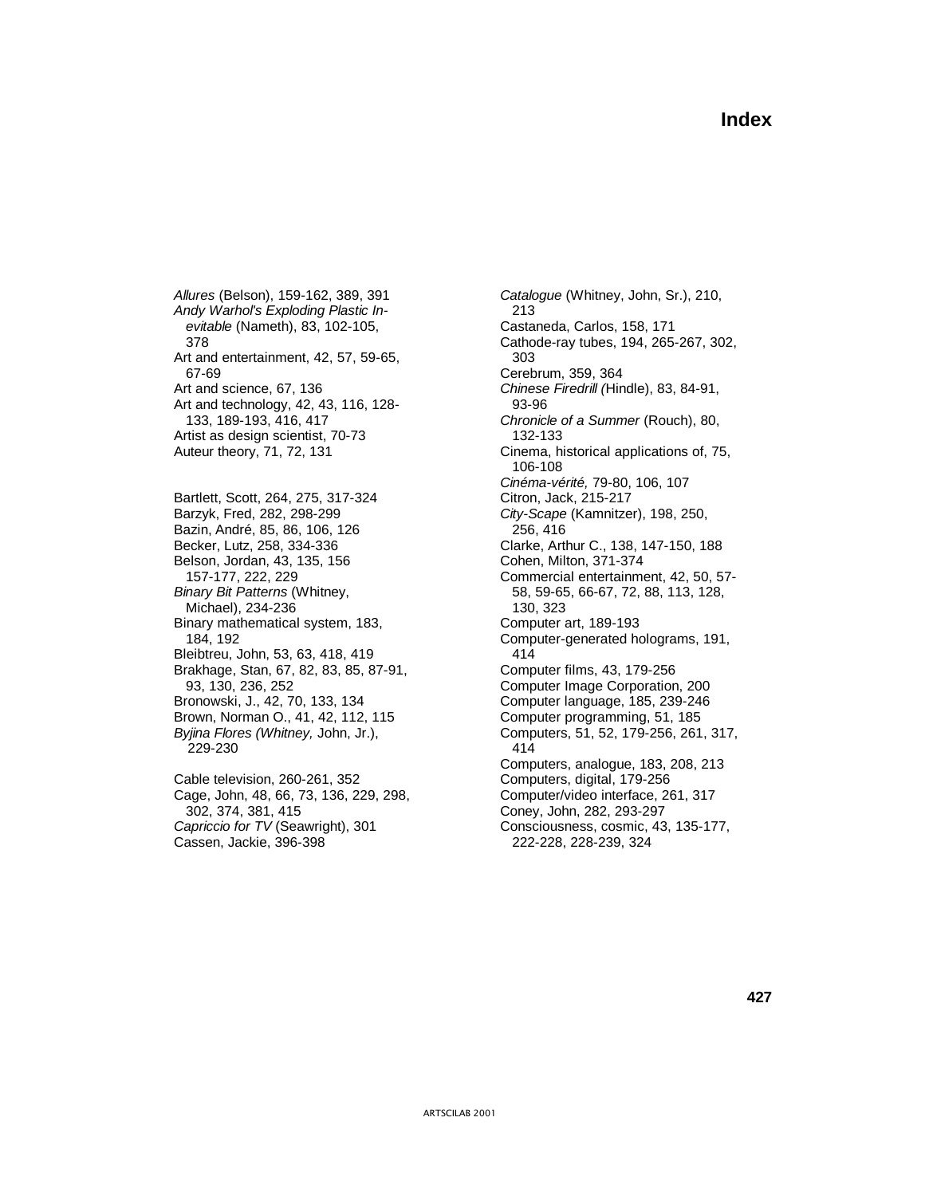*Allures* (Belson), 159-162, 389, 391 *Catalogue* (Whitney, John, Sr.), 210, *Andy Warhol's Exploding Plastic In-* 213 *evitable* (Nameth), 83, 102-105, Art and entertainment, 42, 57, 59-65, 303<br>67-69 Cereb Art and science, 67, 136 *Chinese Firedrill (*Hindle), 83, 84-91, Art and technology, 42, 43, 116, 128-<br>
93-96 133, 189-193, 416, 417 *Chronicle of a Summer* (Rouch), 80, Artist as design scientist, 70-73 132-133 Auteur theory, 71, 72, 131 Cinema, historical applications of, 75, Bartlett, Scott, 264, 275, 317-324 Citron, Jack, 215-217 Barzyk, Fred, 282, 298-299 *City-Scape* (Kamnitzer), 198, 250, Bazin, André, 85, 86, 106, 126 256, 256, 416 Becker, Lutz, 258, 334-336 Clarke, Arthur C., 138, 147-150, 188 Belson, Jordan, 43, 135, 156 Cohen, Milton, 371-374 *Binary Bit Patterns* (Whitney, 58, 59-65, 66-67, 72, 88, 113, 128, Michael), 234-236 130, 323 Binary mathematical system, 183, Computer art, 189-193 Bleibtreu, John, 53, 63, 418, 419 414 Brakhage, Stan, 67, 82, 83, 85, 87-91, Computer films, 43, 179-256 93, 130, 236, 252 Computer Image Corporation, 200 Bronowski, J., 42, 70, 133, 134 Computer language, 185, 239-246 Brown, Norman O., 41, 42, 112, 115 Computer programming, 51, 185 *Byjina Flores (Whitney,* John, Jr.), Computers, 51, 52, 179-256, 261, 317, 229-230 414 Cable television, 260-261, 352

Cage, John, 48, 66, 73, 136, 229, 298, Computer/video interface, 261, 317 302, 374, 381, 415 Coney, John, 282, 293-297 Cassen, Jackie, 396-398 222-228, 228-239, 324

 378 Cathode-ray tubes, 194, 265-267, 302, Cerebrum, 359, 364 106-108 *Cinéma-vérité,* 79-80, 106, 107 157-177, 222, 229 Commercial entertainment, 42, 50, 57- 184, 192 Computer-generated holograms, 191, Computers, analogue, 183, 208, 213 Capriccio for TV (Seawright), 301 Consciousness, cosmic, 43, 135-177,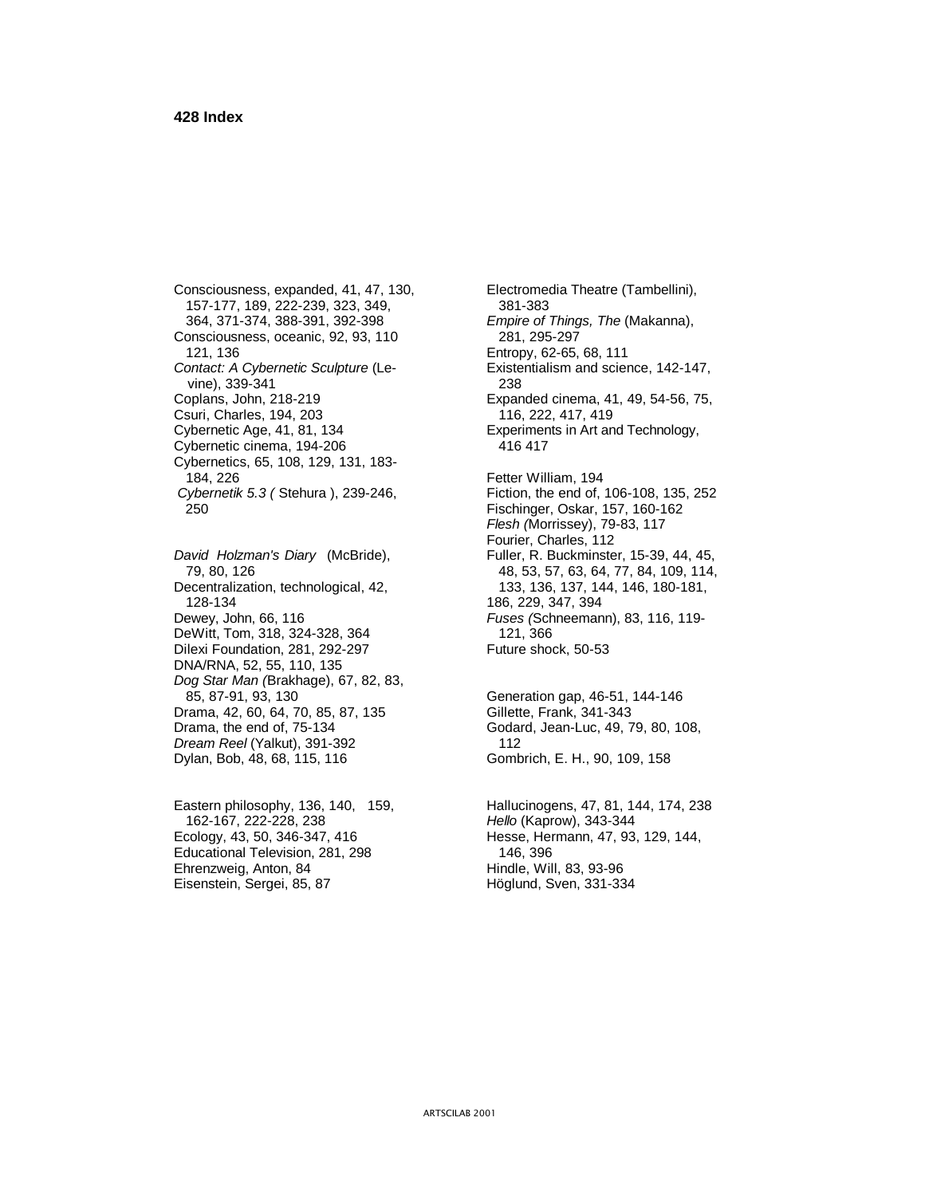Consciousness, expanded, 41, 47, 130, Electromedia Theatre (Tambellini), 157-177, 189, 222-239, 323, 349, 381-383<br>364, 371-374, 388-391, 392-398 *Empire of* Consciousness, oceanic, 92, 93, 110 281, 295-297 121, 136 Entropy, 62-65, 68, 111 *Contact: A Cybernetic Sculpture* (Le- Existentialism and science, 142-147, vine), 339-341 Coplans, John, 218-219 Expanded cinema, 41, 49, 54-56, 75, Csuri, Charles, 194, 203 Cybernetic Age, 41, 81, 134 Experiments in Art and Technology, Cybernetic cinema, 194-206 416 417 Cybernetics, 65, 108, 129, 131, 183- 184, 226 Fetter William, 194 *Cybernetik 5.3 ( Stehura ), 239-246,* Fiction, the end of, 106-108, 135, 252 250 Fischinger, Oskar, 157, 160-162

*David Holzman's Diary (McBride),* 79, 80, 126 Decentralization, technological, 42, 133, 136, 137, 144, 146, 180-181, 128-134 186, 229, 347, 394 Dewey, John, 66, 116 *Fuses (*Schneemann), 83, 116, 119- DeWitt, Tom, 318, 324-328, 364 121, 366 Dilexi Foundation, 281, 292-297 Future shock, 50-53 DNA/RNA, 52, 55, 110, 135 *Dog Star Man (*Brakhage), 67, 82, 83, 85, 87-91, 93, 130 Generation gap, 46-51, 144-146 Drama, 42, 60, 64, 70, 85, 87, 135 Gillette, Frank, 341-343 Drama, the end of, 75-134 Godard, Jean-Luc, 49, 79, 80, 108, Dream Reel (Yalkut), 391-392 *Dream Reel* (Yalkut), 391-392 Dylan, Bob, 48, 68, 115, 116 Gombrich, E. H., 90, 109, 158

 162-167, 222-228, 238 *Hello* (Kaprow), 343-344 Ecology, 43, 50, 346-347, 416 Hesse, Hermann, 47, 93, 129, 144, Educational Television, 281, 298 146, 396 Ehrenzweig, Anton, 84 Hindle, Will, 83, 93-96 Eisenstein, Sergei, 85, 87 Höglund, Sven, 331-334

 364, 371-374, 388-391, 392-398 *Empire of Things, The* (Makanna), *Flesh (*Morrissey), 79-83, 117 Fourier, Charles, 112<br>Fuller, R. Buckminster, 15-39, 44, 45, 79, 80, 126 48, 53, 57, 63, 64, 77, 84, 109, 114,

Eastern philosophy, 136, 140, 159, Hallucinogens, 47, 81, 144, 174, 238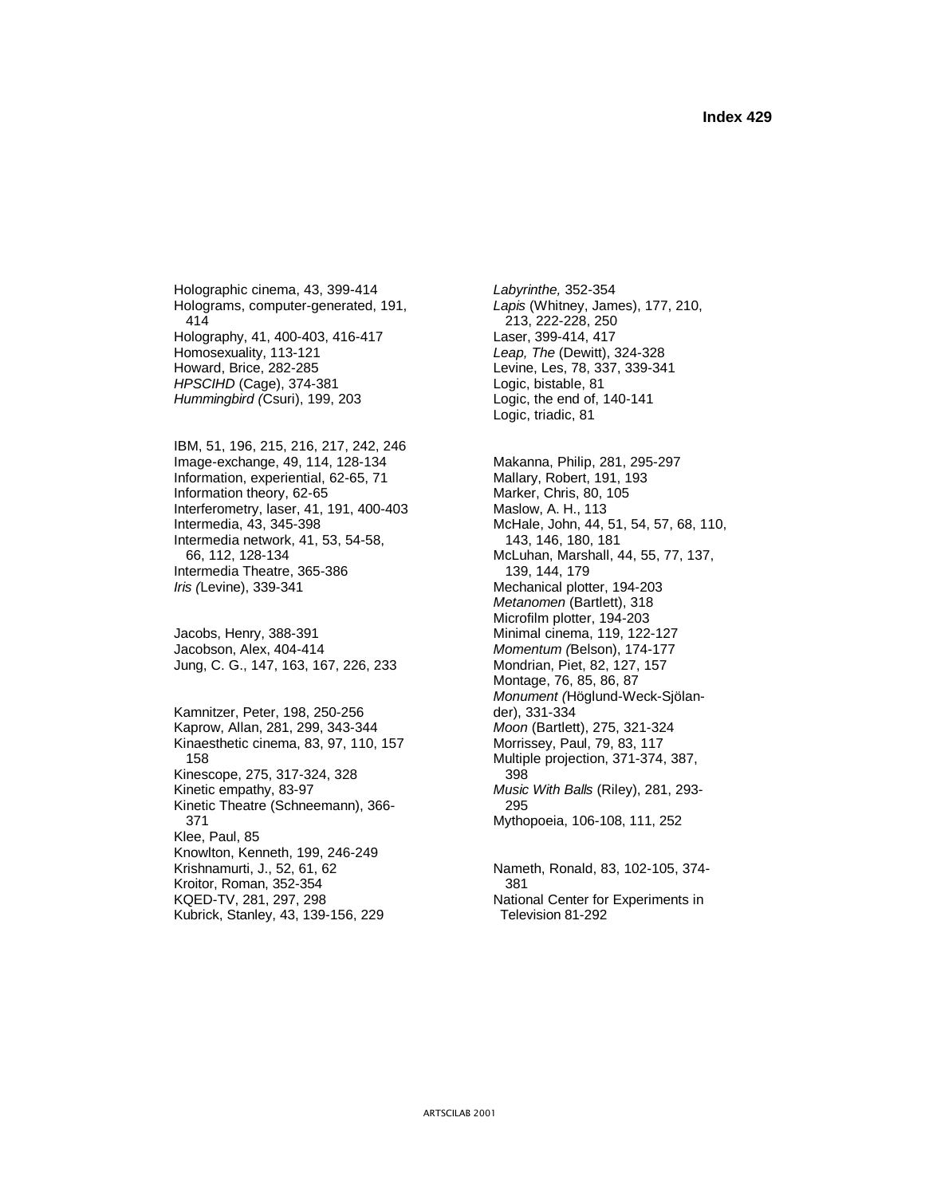Holographic cinema, 43, 399-414 *Labyrinthe,* 352-354 Holograms, computer-generated, 191, *Lapis* (Whitney, James), 177, 210, 414 213, 222-228, 250 Holography, 41, 400-403, 416-417 Laser, 399-414, 417 Homosexuality, 113-121 *Leap, The* (Dewitt), 324-328 *HPSCIHD* (Cage), 374-381 Logic, bistable, 81 *Hummingbird (*Csuri), 199, 203 Logic, the end of, 140-141

IBM, 51, 196, 215, 216, 217, 242, 246 Image-exchange, 49, 114, 128-134 Makanna, Philip, 281, 295-297 Information, experiential, 62-65, 71 Mallary, Robert, 191, 193 Information theory, 62-65 Marker, Chris, 80, 105 Interferometry, laser, 41, 191, 400-403 Maslow, A. H., 113<br>Intermedia, 43, 345-398 McHale, John, 44, Intermedia network, 41, 53, 54-58, 66, 112, 128-134 Intermedia Theatre, 365-386 *Iris (*Levine), 339-341 Mechanical plotter, 194-203

Jacobson, Alex, 404-414 *Momentum (*Belson), 174-177 Jung, C. G., 147, 163, 167, 226, 233 Mondrian, Piet, 82, 127, 157

Kamnitzer, Peter, 198, 250-256 der), 331-334<br>
Kaprow, Allan, 281, 299, 343-344 *Moon* (Bartlett), 275, 321-324 Kaprow, Allan, 281, 299, 343-344 *Moon* (Bartlett), 275, 321-324 Kinaesthetic cinema, 83, 97, 110, 157 158 Multiple projection, 371-374, 387, Kinescope, 275, 317-324, 328 398 Kinetic empathy, 83-97 *Music With Balls* (Riley), 281, 293- Kinetic Theatre (Schneemann), 366- 295 371 Mythopoeia, 106-108, 111, 252 Klee, Paul, 85 Knowlton, Kenneth, 199, 246-249 Krishnamurti, J., 52, 61, 62 Nameth, Ronald, 83, 102-105, 374-Kroitor, Roman, 352-354 381 KQED-TV, 281, 297, 298 <br>Kubrick, Stanlev, 43, 139-156, 229 Television 81-292 Kubrick, Stanley, 43, 139-156, 229

Levine, Les, 78, 337, 339-341 Logic, triadic, 81

McHale, John, 44, 51, 54, 57, 68, 110, 143, 146, 180, 181 McLuhan, Marshall, 44, 55, 77, 137, 139, 144, 179 *Metanomen* (Bartlett), 318 Microfilm plotter, 194-203 Jacobs, Henry, 388-391 Minimal cinema, 119, 122-127 Montage, 76, 85, 86, 87 *Monument (*Höglund-Weck-Sjölan-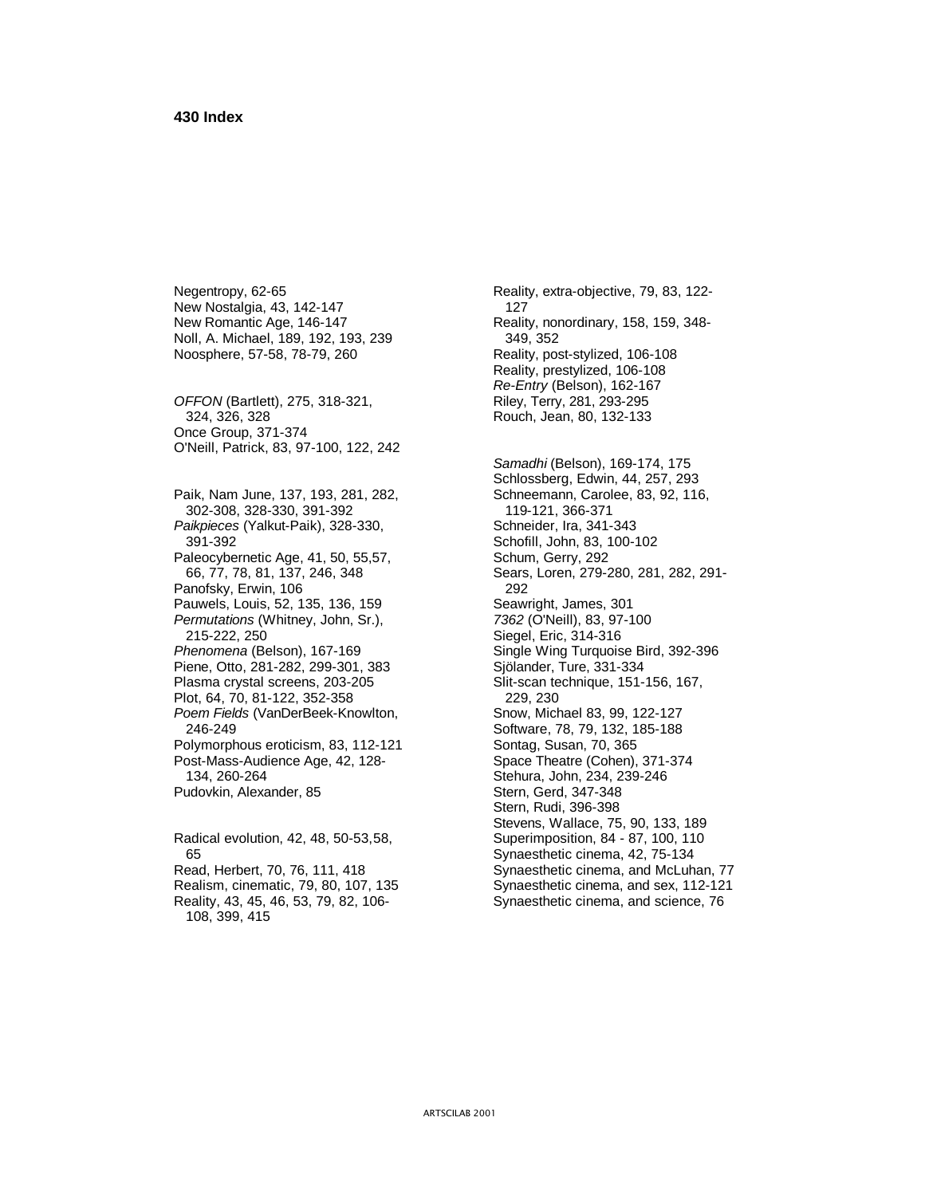New Nostalgia, 43, 142-147 127 New Romantic Age, 146-147 Reality, nonordinary, 158, 159, 348-Noll, A. Michael, 189, 192, 193, 239 349, 352 Noosphere, 57-58, 78-79, 260 Reality, post-stylized, 106-108

*OFFON* (Bartlett), 275, 318-321, Riley, Terry, 281, 293-295 324, 326, 328 Rouch, Jean, 80, 132-133 Once Group, 371-374 O'Neill, Patrick, 83, 97-100, 122, 242

Paik, Nam June, 137, 193, 281, 282, 302-308, 328-330, 391-392 119-121, 366-371 Paikpieces (Yalkut-Paik), 328-330, Schneider, Ira, 341-343 391-392 Schofill, John, 83, 100-102 Paleocybernetic Age, 41, 50, 55,57, Schum, Gerry, 292 Panofsky, Erwin, 106 292 Pauwels, Louis, 52, 135, 136, 159 Seawright, James, 301 *Permutations* (Whitney, John, Sr.), *7362* (O'Neill), 83, 97-100 215-222, 250 Siegel, Eric, 314-316 Phenomena (Belson), 167-169 Single Wing Turquoise Bird, 392-396 Piene, Otto, 281-282, 299-301, 383 Sjölander, Ture, 331-334 Plasma crystal screens, 203-205 Slit-scan technique, 151-156, 167, Plot, 64, 70, 81-122, 352-358 *Poem Fields* (VanDerBeek-Knowlton, Snow, Michael 83, 99, 122-127 246-249 Software, 78, 79, 132, 185-188 Polymorphous eroticism, 83, 112-121 Sontag, Susan, 70, 365 Post-Mass-Audience Age, 42, 128- Space Theatre (Cohen), 371-374 134, 260-264 Stehura, John, 234, 239-246 Pudovkin, Alexander, 85 Stern, Gerd, 347-348

Radical evolution, 42, 48, 50-53, 58, 65 Synaesthetic cinema, 42, 75-134 108, 399, 415

Negentropy, 62-65 Reality, extra-objective, 79, 83, 122-Reality, prestylized, 106-108 *Re-Entry* (Belson), 162-167 *Samadhi* (Belson), 169-174, 175 Schlossberg, Edwin, 44, 257, 293<br>Schneemann, Carolee, 83, 92, 116, 66, 77, 78, 81, 137, 246, 348 Sears, Loren, 279-280, 281, 282, 291- Stern, Rudi, 396-398 Stevens, Wallace, 75, 90, 133, 189<br>Superimposition, 84 - 87, 100, 110 Read, Herbert, 70, 76, 111, 418 Synaesthetic cinema, and McLuhan, 77 Realism, cinematic, 79, 80, 107, 135 Synaesthetic cinema, and sex, 112-121

Reality, 43, 45, 46, 53, 79, 82, 106- Synaesthetic cinema, and science, 76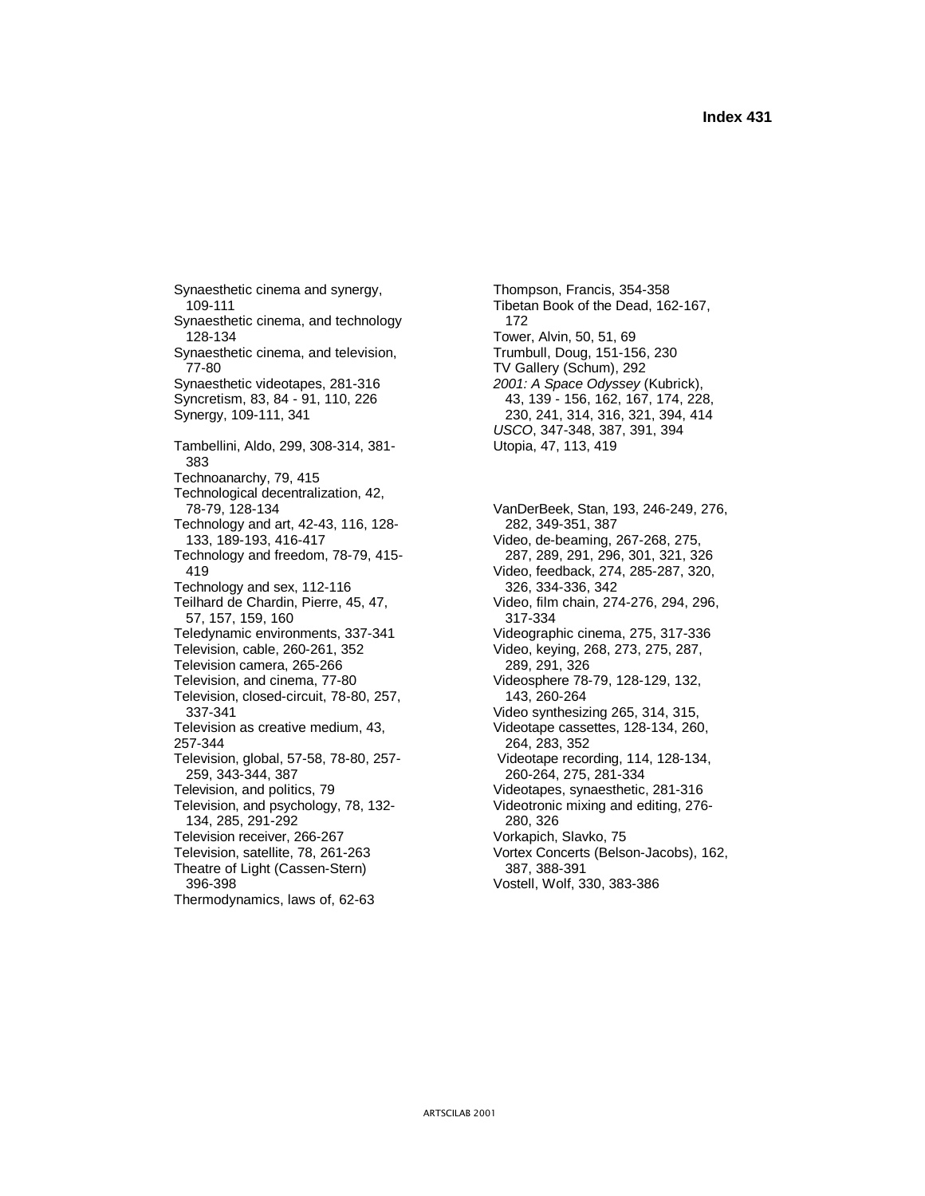Synaesthetic cinema and synergy, Thompson, Francis, 354-358 109-111 Tibetan Book of the Dead, 162-167, Synaesthetic cinema, and technology 172 128-134 Tower, Alvin, 50, 51, 69 Synaesthetic cinema, and television, Trumbull, Doug, 151-156, 230 77-80 TV Gallery (Schum), 292 Synaesthetic videotapes, 281-316 *2001: A Space Odyssey* (Kubrick), Syncretism, 83, 84 - 91, 110, 226 43, 139 - 156, 162, 167, 174, 228, Synergy, 109-111, 341 44 Tambellini, Aldo, 299, 308-314, 381- Utopia, 47, 113, 419 383 Technoanarchy, 79, 415 Technological decentralization, 42, Technology and art, 42-43, 116, 128-<br>133, 189-193, 416-417 <br>Video, de-beaming, 2 Technology and freedom, 78-79, 415-<br>419 Technology and sex, 112-116 326, 334-336, 342 Teilhard de Chardin, Pierre, 45, 47, Video, film chain, 274-276, 294, 296, 57, 157, 159, 160 317-334 Teledynamic environments, 337-341 Videographic cinema, 275, 317-336 Television, cable, 260-261, 352 Video, keying, 268, 273, 275, 287, Television camera, 265-266 289, 291, 326<br>Television, and cinema, 77-80 Videosphere 78-Television, closed-circuit, 78-80, 257, 143, 260-264 337-341 Video synthesizing 265, 314, 315, Television as creative medium, 43,<br>257-344 283, 352<br>264, 283, 352 Television, global, 57-58, 78-80, 257- Videotape recording, 114, 128-134, 259, 343-344, 387 260-264, 275, 281-334 Television, and politics, 79 Videotapes, synaesthetic, 281-316 Television, and psychology, 78, 132- Videotronic mixing and editing, 276- 134, 285, 291-292 280, 326 Television receiver, 266-267 Vorkapich, Slavko, 75 Television, satellite, 78, 261-263 Vortex Concerts (Belson-Jacobs), 162, Theatre of Light (Cassen-Stern) 387, 388-391 396-398 Vostell, Wolf, 330, 383-386 Thermodynamics, laws of, 62-63

230, 241, 314, 316, 321, 394, 414 *USCO*, 347-348, 387, 391, 394

 78-79, 128-134 VanDerBeek, Stan, 193, 246-249, 276, Video, de-beaming, 267-268, 275,<br>287, 289, 291, 296, 301, 321, 326 419 Video, feedback, 274, 285-287, 320, Videosphere 78-79, 128-129, 132, 257-344 264, 283, 352